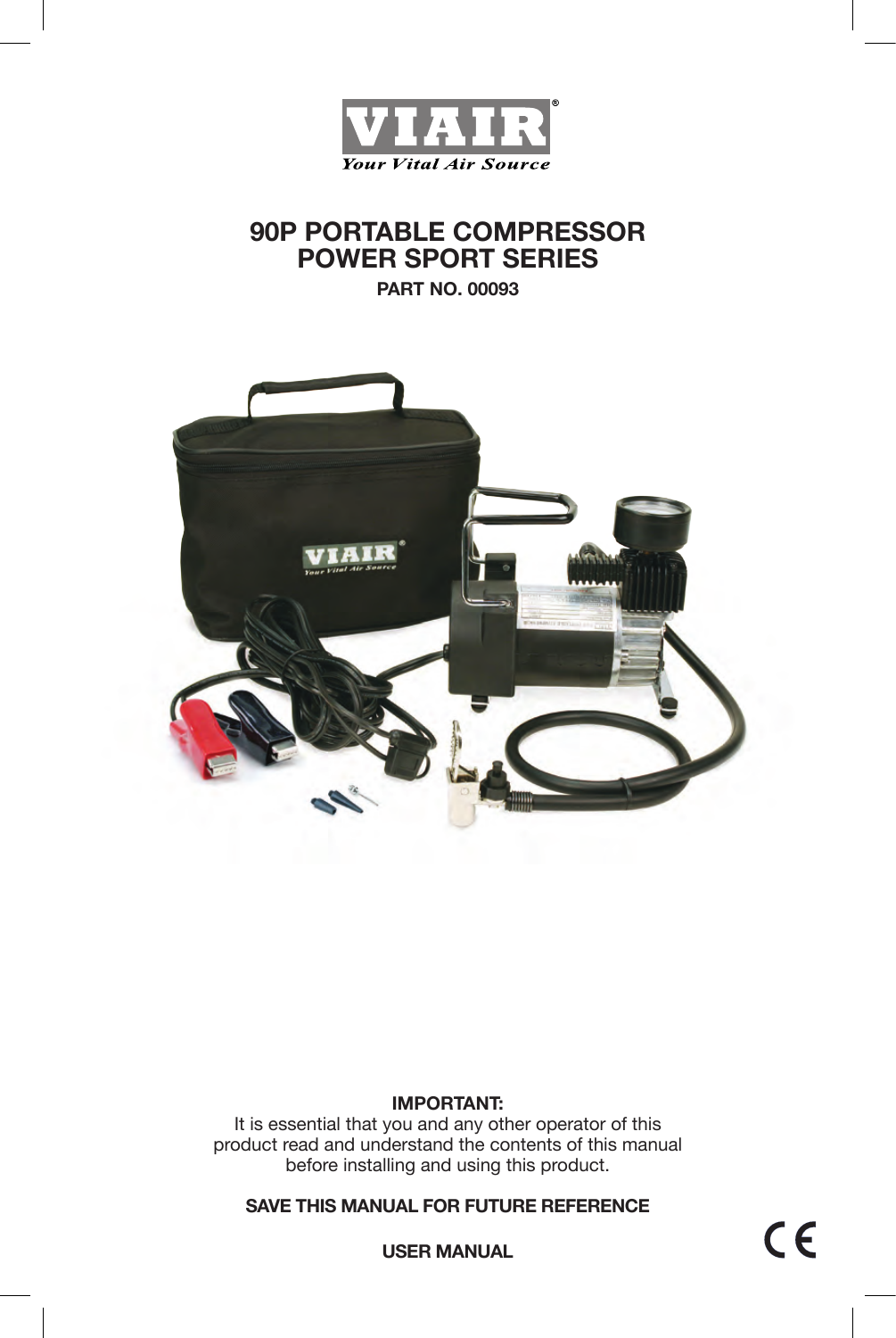

# **90P PORTABLE COMPRESSOR POWER SPORT SERIES**

**PART NO. 00093**



### **IMPORTANT:**

It is essential that you and any other operator of this product read and understand the contents of this manual before installing and using this product.

**SAVE THIS MANUAL FOR FUTURE REFERENCE**

 $C \in$ 

**USER MANUAL**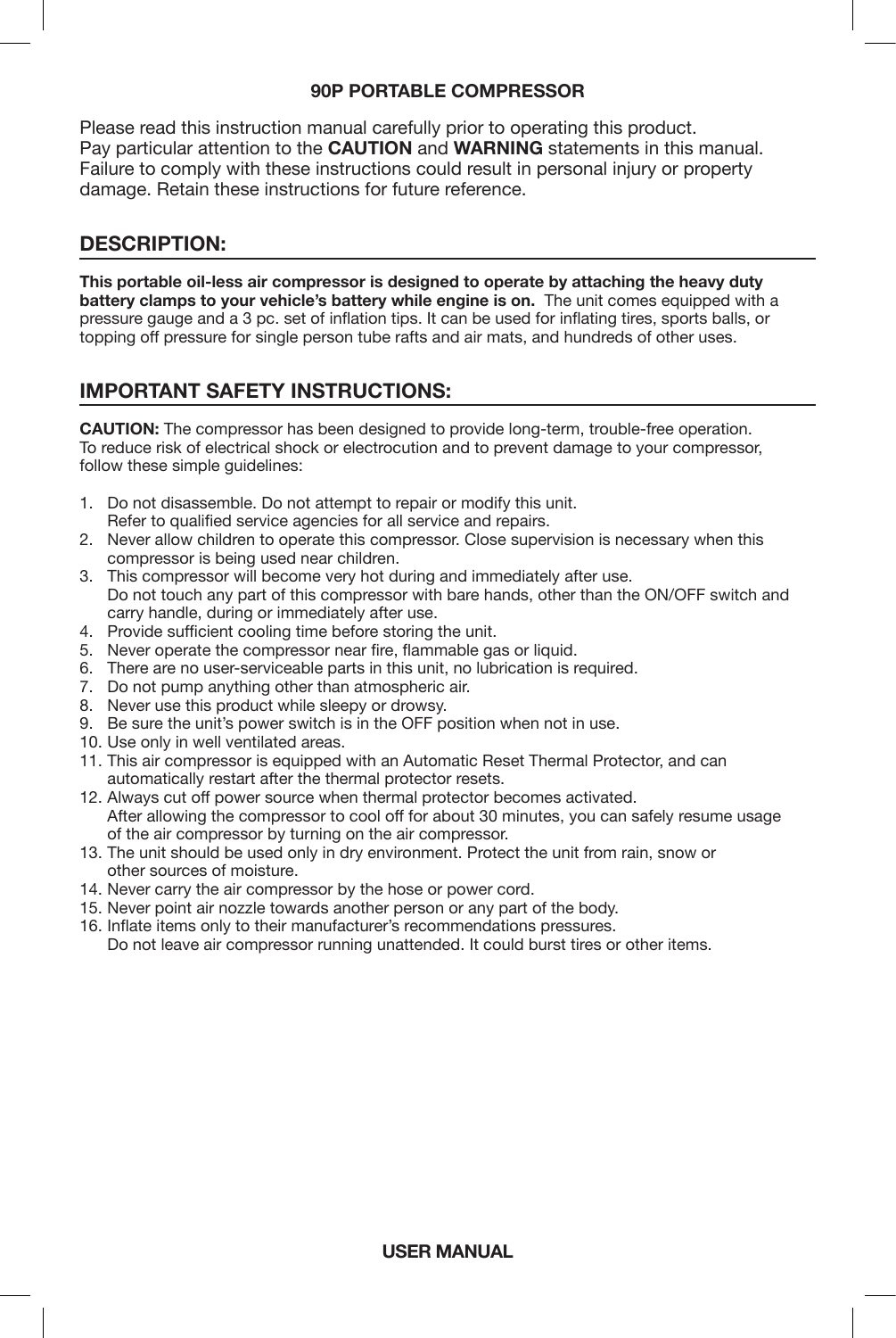#### **90P PORTABLE COMPRESSOR**

Please read this instruction manual carefully prior to operating this product. Pay particular attention to the **CAUTION** and **WARNING** statements in this manual. Failure to comply with these instructions could result in personal injury or property damage. Retain these instructions for future reference.

### **DESCRIPTION:**

**This portable oil-less air compressor is designed to operate by attaching the heavy duty battery clamps to your vehicle's battery while engine is on.** The unit comes equipped with a pressure gauge and a 3 pc. set of inflation tips. It can be used for inflating tires, sports balls, or topping off pressure for single person tube rafts and air mats, and hundreds of other uses.

# **IMPORTANT SAFETY INSTRUCTIONS:**

**CAUTION:** The compressor has been designed to provide long-term, trouble-free operation. To reduce risk of electrical shock or electrocution and to prevent damage to your compressor, follow these simple quidelines:

- 1. Do not disassemble. Do not attempt to repair or modify this unit. Refer to qualified service agencies for all service and repairs.
- 2. Never allow children to operate this compressor. Close supervision is necessary when this compressor is being used near children.
- 3. This compressor will become very hot during and immediately after use. Do not touch any part of this compressor with bare hands, other than the ON/OFF switch and carry handle, during or immediately after use.
- 4. Provide sufficient cooling time before storing the unit.
- 5. Never operate the compressor near fire, flammable gas or liquid.
- 6. There are no user-serviceable parts in this unit, no lubrication is required.
- 7. Do not pump anything other than atmospheric air.
- 8. Never use this product while sleepy or drowsy.
- 9. Be sure the unit's power switch is in the OFF position when not in use.
- 10. Use only in well ventilated areas.
- 11. This air compressor is equipped with an Automatic Reset Thermal Protector, and can automatically restart after the thermal protector resets.
- 12. Always cut off power source when thermal protector becomes activated. After allowing the compressor to cool off for about 30 minutes, you can safely resume usage of the air compressor by turning on the air compressor.
- 13. The unit should be used only in dry environment. Protect the unit from rain, snow or other sources of moisture.
- 14. Never carry the air compressor by the hose or power cord.
- 15. Never point air nozzle towards another person or any part of the body.
- 16. Inflate items only to their manufacturer's recommendations pressures. Do not leave air compressor running unattended. It could burst tires or other items.

**USER MANUAL**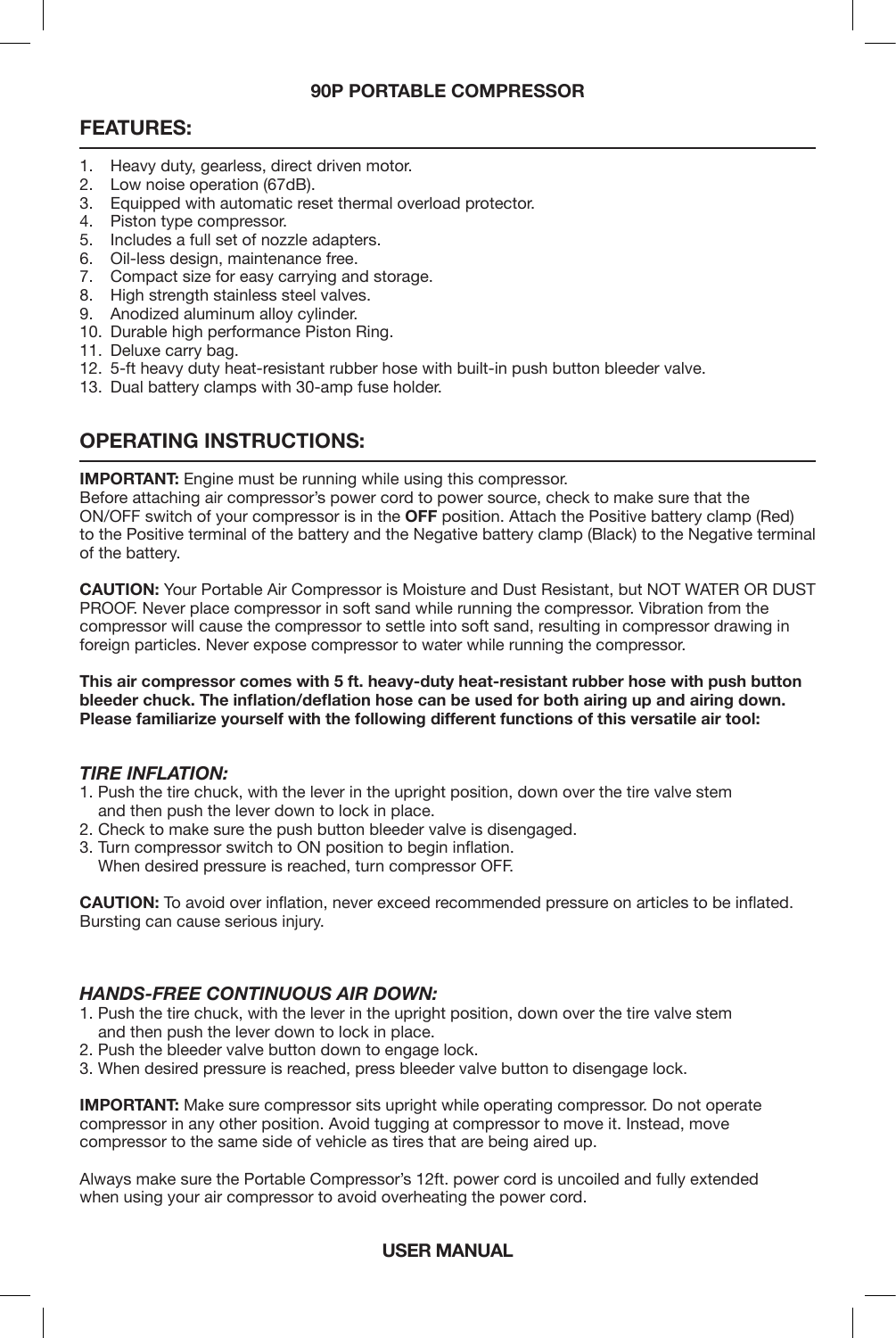#### **90P PORTABLE COMPRESSOR**

# **FEATURES:**

- 1. Heavy duty, gearless, direct driven motor.
- 2. Low noise operation (67dB).
- 3. Equipped with automatic reset thermal overload protector.
- 4. Piston type compressor.
- 5. Includes a full set of nozzle adapters.
- 6. Oil-less design, maintenance free.
- 7. Compact size for easy carrying and storage.
- 8. High strength stainless steel valves.
- 9. Anodized aluminum alloy cylinder.
- 10. Durable high performance Piston Ring.
- 11. Deluxe carry bag.
- 12. 5-ft heavy duty heat-resistant rubber hose with built-in push button bleeder valve.
- 13. Dual battery clamps with 30-amp fuse holder.

# **OPERATING INSTRUCTIONS:**

**IMPORTANT:** Engine must be running while using this compressor.

Before attaching air compressor's power cord to power source, check to make sure that the ON/OFF switch of your compressor is in the **OFF** position. Attach the Positive battery clamp (Red) to the Positive terminal of the battery and the Negative battery clamp (Black) to the Negative terminal of the battery.

**CAUTION:** Your Portable Air Compressor is Moisture and Dust Resistant, but NOT WATER OR DUST PROOF. Never place compressor in soft sand while running the compressor. Vibration from the compressor will cause the compressor to settle into soft sand, resulting in compressor drawing in foreign particles. Never expose compressor to water while running the compressor.

**This air compressor comes with 5 ft. heavy-duty heat-resistant rubber hose with push button bleeder chuck. The inflation/deflation hose can be used for both airing up and airing down. Please familiarize yourself with the following different functions of this versatile air tool:**

#### *TIRE INFLATION:*

- 1. Push the tire chuck, with the lever in the upright position, down over the tire valve stem and then push the lever down to lock in place.
- 2. Check to make sure the push button bleeder valve is disengaged.
- 3. Turn compressor switch to ON position to begin inflation. When desired pressure is reached, turn compressor OFF.

**CAUTION:** To avoid over inflation, never exceed recommended pressure on articles to be inflated. Bursting can cause serious injury.

### *HANDS-FREE CONTINUOUS AIR DOWN:*

- 1. Push the tire chuck, with the lever in the upright position, down over the tire valve stem and then push the lever down to lock in place.
- 2. Push the bleeder valve button down to engage lock.
- 3. When desired pressure is reached, press bleeder valve button to disengage lock.

**IMPORTANT:** Make sure compressor sits upright while operating compressor. Do not operate compressor in any other position. Avoid tugging at compressor to move it. Instead, move compressor to the same side of vehicle as tires that are being aired up.

Always make sure the Portable Compressor's 12ft. power cord is uncoiled and fully extended when using your air compressor to avoid overheating the power cord.

### **USER MANUAL**